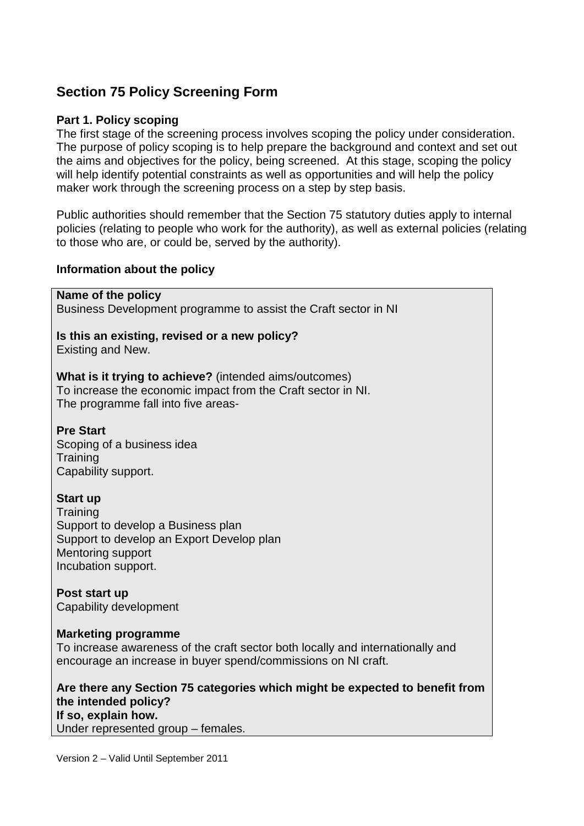# **Section 75 Policy Screening Form**

### **Part 1. Policy scoping**

The first stage of the screening process involves scoping the policy under consideration. The purpose of policy scoping is to help prepare the background and context and set out the aims and objectives for the policy, being screened. At this stage, scoping the policy will help identify potential constraints as well as opportunities and will help the policy maker work through the screening process on a step by step basis.

Public authorities should remember that the Section 75 statutory duties apply to internal policies (relating to people who work for the authority), as well as external policies (relating to those who are, or could be, served by the authority).

### **Information about the policy**

**Name of the policy**

Business Development programme to assist the Craft sector in NI

#### **Is this an existing, revised or a new policy?** Existing and New.

**What is it trying to achieve?** (intended aims/outcomes) To increase the economic impact from the Craft sector in NI. The programme fall into five areas-

# **Pre Start**

Scoping of a business idea **Training** Capability support.

# **Start up**

**Training** Support to develop a Business plan Support to develop an Export Develop plan Mentoring support Incubation support.

**Post start up** Capability development

### **Marketing programme**

To increase awareness of the craft sector both locally and internationally and encourage an increase in buyer spend/commissions on NI craft.

**Are there any Section 75 categories which might be expected to benefit from the intended policy? If so, explain how.**  Under represented group – females.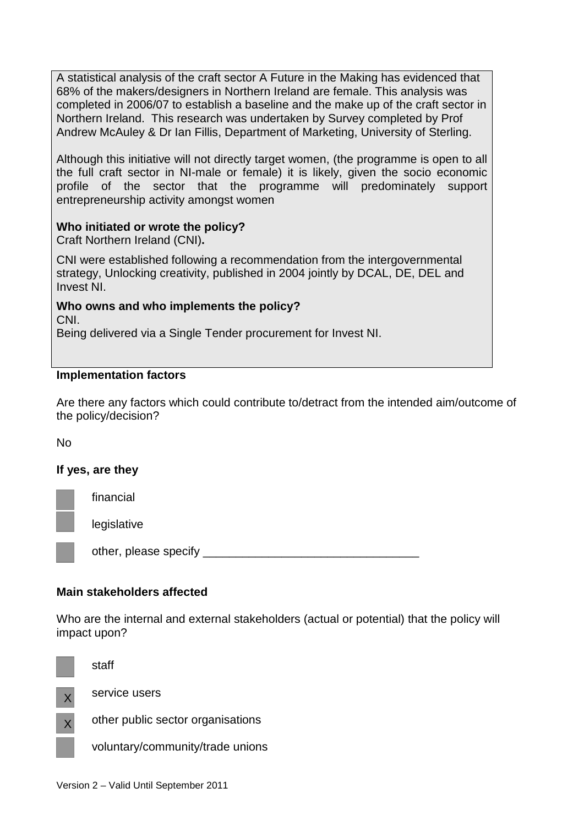A statistical analysis of the craft sector A Future in the Making has evidenced that 68% of the makers/designers in Northern Ireland are female. This analysis was completed in 2006/07 to establish a baseline and the make up of the craft sector in Northern Ireland. This research was undertaken by Survey completed by Prof Andrew McAuley & Dr Ian Fillis, Department of Marketing, University of Sterling.

Although this initiative will not directly target women, (the programme is open to all the full craft sector in NI-male or female) it is likely, given the socio economic profile of the sector that the programme will predominately support entrepreneurship activity amongst women

# **Who initiated or wrote the policy?**

Craft Northern Ireland (CNI)**.**

CNI were established following a recommendation from the intergovernmental strategy, Unlocking creativity, published in 2004 jointly by DCAL, DE, DEL and Invest NI.

**Who owns and who implements the policy?** CNI.

Being delivered via a Single Tender procurement for Invest NI.

### **Implementation factors**

Are there any factors which could contribute to/detract from the intended aim/outcome of the policy/decision?

### No

### **If yes, are they**

financial

legislative

other, please specify

# **Main stakeholders affected**

service users

Who are the internal and external stakeholders (actual or potential) that the policy will impact upon?



staff



other public sector organisations

voluntary/community/trade unions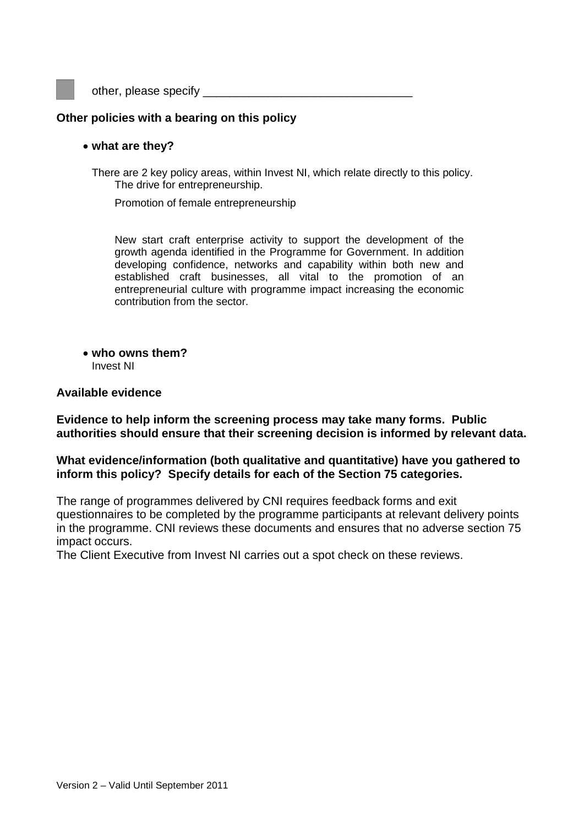other, please specify \_\_\_\_\_\_\_\_\_\_\_\_\_\_\_\_\_\_\_\_\_\_\_\_\_\_\_\_\_\_\_\_

### **Other policies with a bearing on this policy**

#### • **what are they?**

There are 2 key policy areas, within Invest NI, which relate directly to this policy. The drive for entrepreneurship.

Promotion of female entrepreneurship

New start craft enterprise activity to support the development of the growth agenda identified in the Programme for Government. In addition developing confidence, networks and capability within both new and established craft businesses, all vital to the promotion of an entrepreneurial culture with programme impact increasing the economic contribution from the sector.

• **who owns them?** Invest NI

#### **Available evidence**

**Evidence to help inform the screening process may take many forms. Public authorities should ensure that their screening decision is informed by relevant data.** 

#### **What evidence/information (both qualitative and quantitative) have you gathered to inform this policy? Specify details for each of the Section 75 categories.**

The range of programmes delivered by CNI requires feedback forms and exit questionnaires to be completed by the programme participants at relevant delivery points in the programme. CNI reviews these documents and ensures that no adverse section 75 impact occurs.

The Client Executive from Invest NI carries out a spot check on these reviews.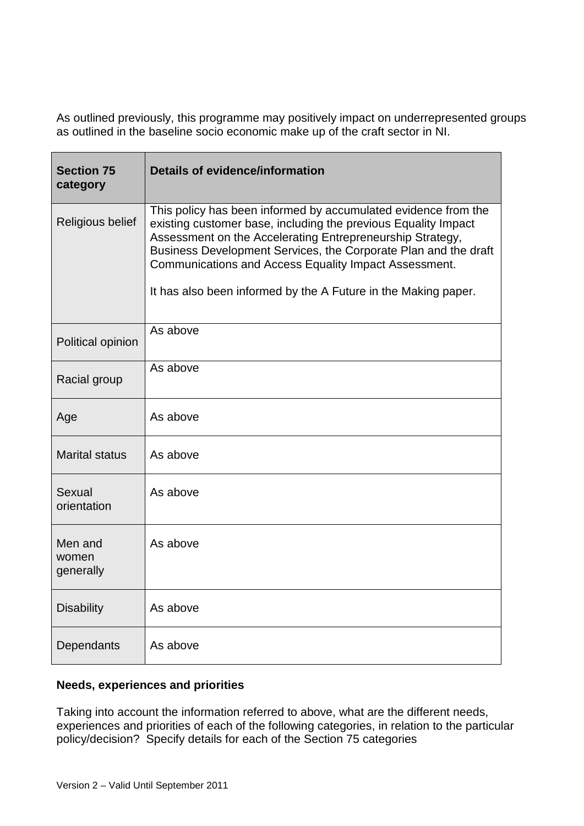As outlined previously, this programme may positively impact on underrepresented groups as outlined in the baseline socio economic make up of the craft sector in NI.

| <b>Section 75</b><br>category | <b>Details of evidence/information</b>                                                                                                                                                                                                                                                                                                                                                      |
|-------------------------------|---------------------------------------------------------------------------------------------------------------------------------------------------------------------------------------------------------------------------------------------------------------------------------------------------------------------------------------------------------------------------------------------|
| Religious belief              | This policy has been informed by accumulated evidence from the<br>existing customer base, including the previous Equality Impact<br>Assessment on the Accelerating Entrepreneurship Strategy,<br>Business Development Services, the Corporate Plan and the draft<br>Communications and Access Equality Impact Assessment.<br>It has also been informed by the A Future in the Making paper. |
| Political opinion             | As above                                                                                                                                                                                                                                                                                                                                                                                    |
| Racial group                  | As above                                                                                                                                                                                                                                                                                                                                                                                    |
| Age                           | As above                                                                                                                                                                                                                                                                                                                                                                                    |
| <b>Marital status</b>         | As above                                                                                                                                                                                                                                                                                                                                                                                    |
| Sexual<br>orientation         | As above                                                                                                                                                                                                                                                                                                                                                                                    |
| Men and<br>women<br>generally | As above                                                                                                                                                                                                                                                                                                                                                                                    |
| <b>Disability</b>             | As above                                                                                                                                                                                                                                                                                                                                                                                    |
| Dependants                    | As above                                                                                                                                                                                                                                                                                                                                                                                    |

# **Needs, experiences and priorities**

Taking into account the information referred to above, what are the different needs, experiences and priorities of each of the following categories, in relation to the particular policy/decision? Specify details for each of the Section 75 categories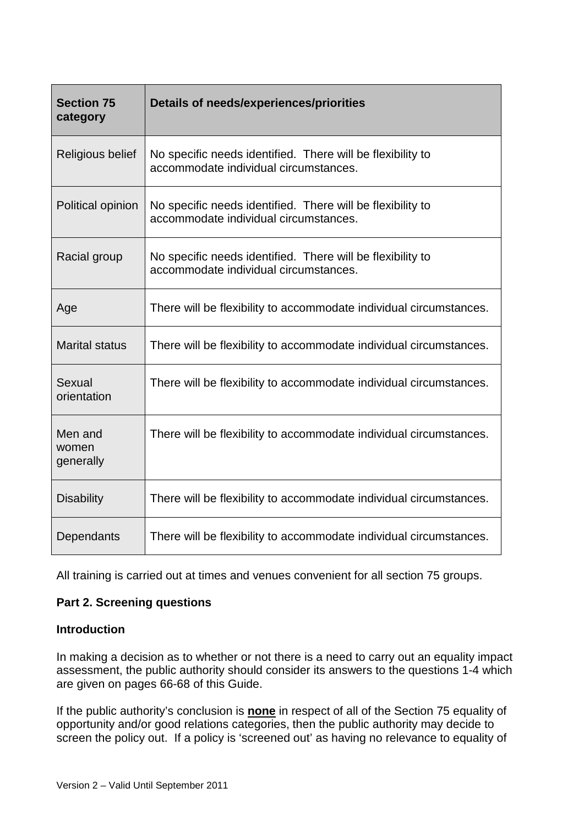| <b>Section 75</b><br>category | Details of needs/experiences/priorities                                                             |
|-------------------------------|-----------------------------------------------------------------------------------------------------|
| Religious belief              | No specific needs identified. There will be flexibility to<br>accommodate individual circumstances. |
| Political opinion             | No specific needs identified. There will be flexibility to<br>accommodate individual circumstances. |
| Racial group                  | No specific needs identified. There will be flexibility to<br>accommodate individual circumstances. |
| Age                           | There will be flexibility to accommodate individual circumstances.                                  |
| <b>Marital status</b>         | There will be flexibility to accommodate individual circumstances.                                  |
| Sexual<br>orientation         | There will be flexibility to accommodate individual circumstances.                                  |
| Men and<br>women<br>generally | There will be flexibility to accommodate individual circumstances.                                  |
| <b>Disability</b>             | There will be flexibility to accommodate individual circumstances.                                  |
| Dependants                    | There will be flexibility to accommodate individual circumstances.                                  |

All training is carried out at times and venues convenient for all section 75 groups.

# **Part 2. Screening questions**

# **Introduction**

In making a decision as to whether or not there is a need to carry out an equality impact assessment, the public authority should consider its answers to the questions 1-4 which are given on pages 66-68 of this Guide.

If the public authority's conclusion is **none** in respect of all of the Section 75 equality of opportunity and/or good relations categories, then the public authority may decide to screen the policy out. If a policy is 'screened out' as having no relevance to equality of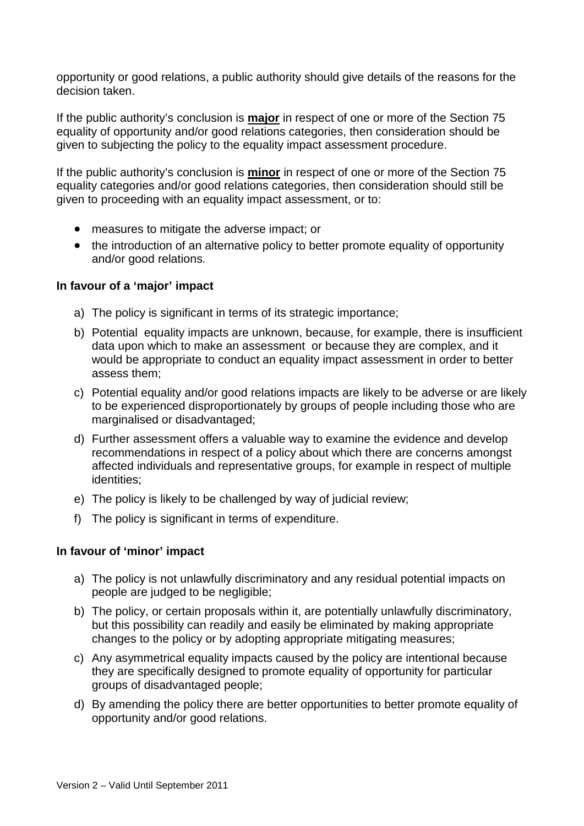opportunity or good relations, a public authority should give details of the reasons for the decision taken.

If the public authority's conclusion is **major** in respect of one or more of the Section 75 equality of opportunity and/or good relations categories, then consideration should be given to subjecting the policy to the equality impact assessment procedure.

If the public authority's conclusion is **minor** in respect of one or more of the Section 75 equality categories and/or good relations categories, then consideration should still be given to proceeding with an equality impact assessment, or to:

- measures to mitigate the adverse impact; or
- the introduction of an alternative policy to better promote equality of opportunity and/or good relations.

#### **In favour of a 'major' impact**

- a) The policy is significant in terms of its strategic importance;
- b) Potential equality impacts are unknown, because, for example, there is insufficient data upon which to make an assessment or because they are complex, and it would be appropriate to conduct an equality impact assessment in order to better assess them;
- c) Potential equality and/or good relations impacts are likely to be adverse or are likely to be experienced disproportionately by groups of people including those who are marginalised or disadvantaged;
- d) Further assessment offers a valuable way to examine the evidence and develop recommendations in respect of a policy about which there are concerns amongst affected individuals and representative groups, for example in respect of multiple identities;
- e) The policy is likely to be challenged by way of judicial review;
- f) The policy is significant in terms of expenditure.

#### **In favour of 'minor' impact**

- a) The policy is not unlawfully discriminatory and any residual potential impacts on people are judged to be negligible;
- b) The policy, or certain proposals within it, are potentially unlawfully discriminatory, but this possibility can readily and easily be eliminated by making appropriate changes to the policy or by adopting appropriate mitigating measures;
- c) Any asymmetrical equality impacts caused by the policy are intentional because they are specifically designed to promote equality of opportunity for particular groups of disadvantaged people;
- d) By amending the policy there are better opportunities to better promote equality of opportunity and/or good relations.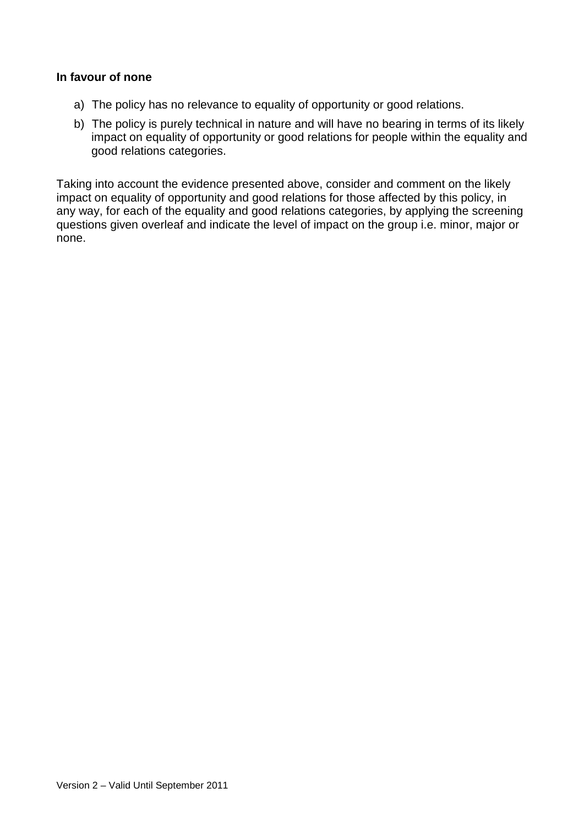#### **In favour of none**

- a) The policy has no relevance to equality of opportunity or good relations.
- b) The policy is purely technical in nature and will have no bearing in terms of its likely impact on equality of opportunity or good relations for people within the equality and good relations categories.

Taking into account the evidence presented above, consider and comment on the likely impact on equality of opportunity and good relations for those affected by this policy, in any way, for each of the equality and good relations categories, by applying the screening questions given overleaf and indicate the level of impact on the group i.e. minor, major or none.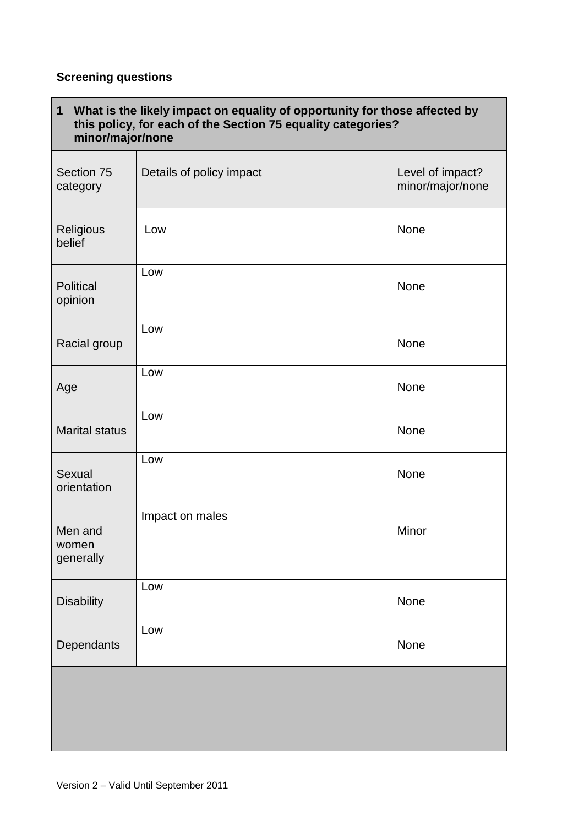# **Screening questions**

| What is the likely impact on equality of opportunity for those affected by<br>$\mathbf{1}$<br>this policy, for each of the Section 75 equality categories?<br>minor/major/none |                          |                                      |
|--------------------------------------------------------------------------------------------------------------------------------------------------------------------------------|--------------------------|--------------------------------------|
| Section 75<br>category                                                                                                                                                         | Details of policy impact | Level of impact?<br>minor/major/none |
| Religious<br>belief                                                                                                                                                            | Low                      | None                                 |
| <b>Political</b><br>opinion                                                                                                                                                    | Low                      | None                                 |
| Racial group                                                                                                                                                                   | Low                      | None                                 |
| Age                                                                                                                                                                            | Low                      | None                                 |
| <b>Marital status</b>                                                                                                                                                          | Low                      | None                                 |
| Sexual<br>orientation                                                                                                                                                          | Low                      | None                                 |
| Men and<br>women<br>generally                                                                                                                                                  | Impact on males          | Minor                                |
| <b>Disability</b>                                                                                                                                                              | Low                      | None                                 |
| Dependants                                                                                                                                                                     | Low                      | None                                 |
|                                                                                                                                                                                |                          |                                      |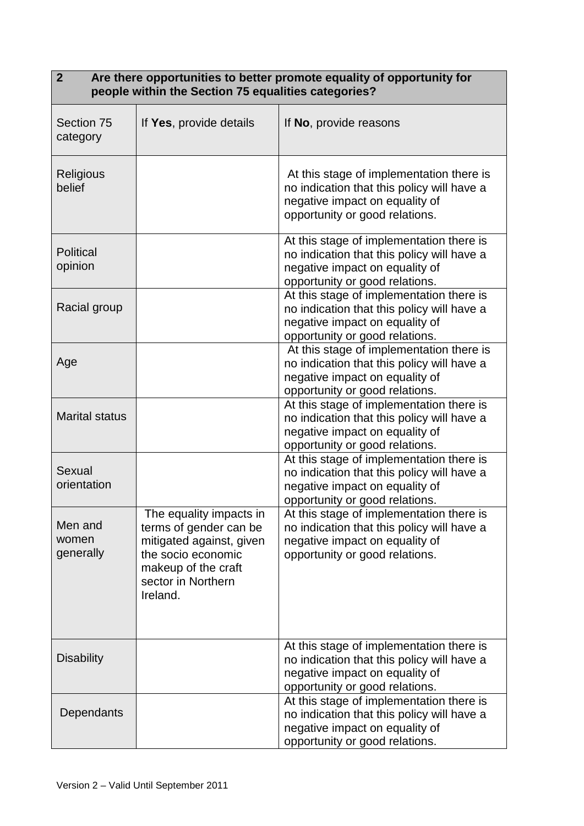| Are there opportunities to better promote equality of opportunity for<br>$\overline{2}$<br>people within the Section 75 equalities categories? |                                                                                                                                                              |                                                                                                                                                            |
|------------------------------------------------------------------------------------------------------------------------------------------------|--------------------------------------------------------------------------------------------------------------------------------------------------------------|------------------------------------------------------------------------------------------------------------------------------------------------------------|
| Section 75<br>category                                                                                                                         | If Yes, provide details                                                                                                                                      | If No, provide reasons                                                                                                                                     |
| <b>Religious</b><br>belief                                                                                                                     |                                                                                                                                                              | At this stage of implementation there is<br>no indication that this policy will have a<br>negative impact on equality of<br>opportunity or good relations. |
| <b>Political</b><br>opinion                                                                                                                    |                                                                                                                                                              | At this stage of implementation there is<br>no indication that this policy will have a<br>negative impact on equality of<br>opportunity or good relations. |
| Racial group                                                                                                                                   |                                                                                                                                                              | At this stage of implementation there is<br>no indication that this policy will have a<br>negative impact on equality of<br>opportunity or good relations. |
| Age                                                                                                                                            |                                                                                                                                                              | At this stage of implementation there is<br>no indication that this policy will have a<br>negative impact on equality of<br>opportunity or good relations. |
| <b>Marital status</b>                                                                                                                          |                                                                                                                                                              | At this stage of implementation there is<br>no indication that this policy will have a<br>negative impact on equality of<br>opportunity or good relations. |
| Sexual<br>orientation                                                                                                                          |                                                                                                                                                              | At this stage of implementation there is<br>no indication that this policy will have a<br>negative impact on equality of<br>opportunity or good relations. |
| Men and<br>women<br>generally                                                                                                                  | The equality impacts in<br>terms of gender can be<br>mitigated against, given<br>the socio economic<br>makeup of the craft<br>sector in Northern<br>Ireland. | At this stage of implementation there is<br>no indication that this policy will have a<br>negative impact on equality of<br>opportunity or good relations. |
| <b>Disability</b>                                                                                                                              |                                                                                                                                                              | At this stage of implementation there is<br>no indication that this policy will have a<br>negative impact on equality of<br>opportunity or good relations. |
| Dependants                                                                                                                                     |                                                                                                                                                              | At this stage of implementation there is<br>no indication that this policy will have a<br>negative impact on equality of<br>opportunity or good relations. |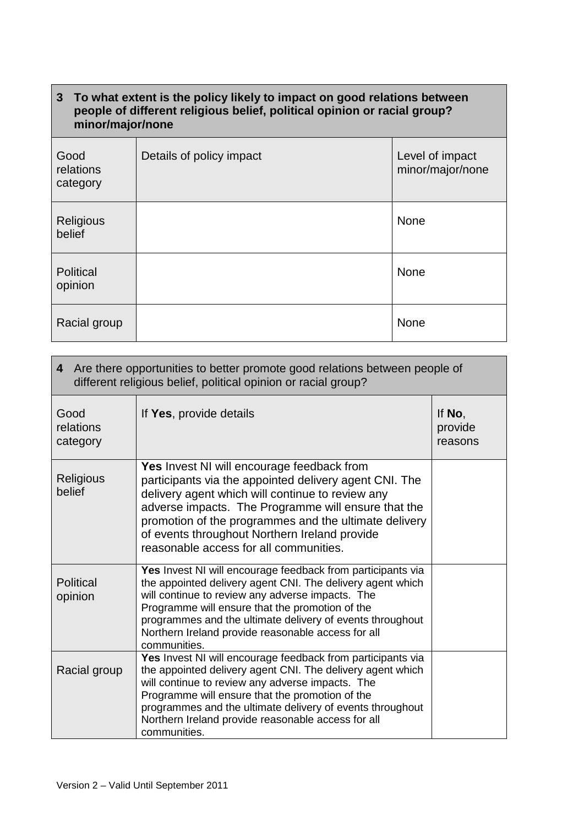# **3 To what extent is the policy likely to impact on good relations between people of different religious belief, political opinion or racial group? minor/major/none**

| Good<br>relations<br>category | Details of policy impact | Level of impact<br>minor/major/none |
|-------------------------------|--------------------------|-------------------------------------|
| Religious<br>belief           |                          | None                                |
| Political<br>opinion          |                          | None                                |
| Racial group                  |                          | None                                |

| 4 Are there opportunities to better promote good relations between people of<br>different religious belief, political opinion or racial group? |                                                                                                                                                                                                                                                                                                                                                                     |                              |
|------------------------------------------------------------------------------------------------------------------------------------------------|---------------------------------------------------------------------------------------------------------------------------------------------------------------------------------------------------------------------------------------------------------------------------------------------------------------------------------------------------------------------|------------------------------|
| Good<br>relations<br>category                                                                                                                  | If Yes, provide details                                                                                                                                                                                                                                                                                                                                             | If No,<br>provide<br>reasons |
| Religious<br>belief                                                                                                                            | Yes Invest NI will encourage feedback from<br>participants via the appointed delivery agent CNI. The<br>delivery agent which will continue to review any<br>adverse impacts. The Programme will ensure that the<br>promotion of the programmes and the ultimate delivery<br>of events throughout Northern Ireland provide<br>reasonable access for all communities. |                              |
| Political<br>opinion                                                                                                                           | Yes Invest NI will encourage feedback from participants via<br>the appointed delivery agent CNI. The delivery agent which<br>will continue to review any adverse impacts. The<br>Programme will ensure that the promotion of the<br>programmes and the ultimate delivery of events throughout<br>Northern Ireland provide reasonable access for all<br>communities. |                              |
| Racial group                                                                                                                                   | Yes Invest NI will encourage feedback from participants via<br>the appointed delivery agent CNI. The delivery agent which<br>will continue to review any adverse impacts. The<br>Programme will ensure that the promotion of the<br>programmes and the ultimate delivery of events throughout<br>Northern Ireland provide reasonable access for all<br>communities. |                              |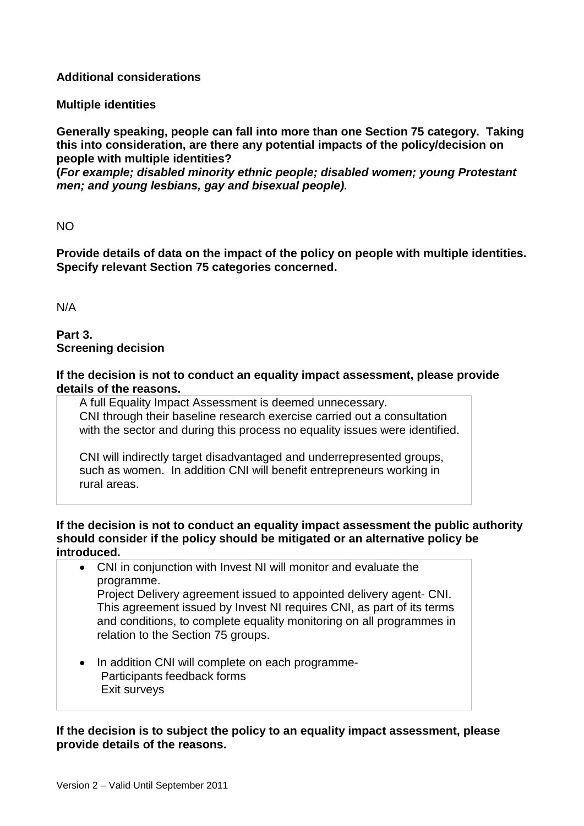### **Additional considerations**

**Multiple identities**

**Generally speaking, people can fall into more than one Section 75 category. Taking this into consideration, are there any potential impacts of the policy/decision on people with multiple identities?**

**(***For example; disabled minority ethnic people; disabled women; young Protestant men; and young lesbians, gay and bisexual people).*

NO

**Provide details of data on the impact of the policy on people with multiple identities. Specify relevant Section 75 categories concerned.**

N/A

#### **Part 3. Screening decision**

#### **If the decision is not to conduct an equality impact assessment, please provide details of the reasons.**

A full Equality Impact Assessment is deemed unnecessary. CNI through their baseline research exercise carried out a consultation with the sector and during this process no equality issues were identified.

CNI will indirectly target disadvantaged and underrepresented groups, such as women. In addition CNI will benefit entrepreneurs working in rural areas.

#### **If the decision is not to conduct an equality impact assessment the public authority should consider if the policy should be mitigated or an alternative policy be introduced.**

- CNI in conjunction with Invest NI will monitor and evaluate the programme. Project Delivery agreement issued to appointed delivery agent- CNI. This agreement issued by Invest NI requires CNI, as part of its terms and conditions, to complete equality monitoring on all programmes in relation to the Section 75 groups.
- In addition CNI will complete on each programme- Participants feedback forms Exit surveys

**If the decision is to subject the policy to an equality impact assessment, please provide details of the reasons.**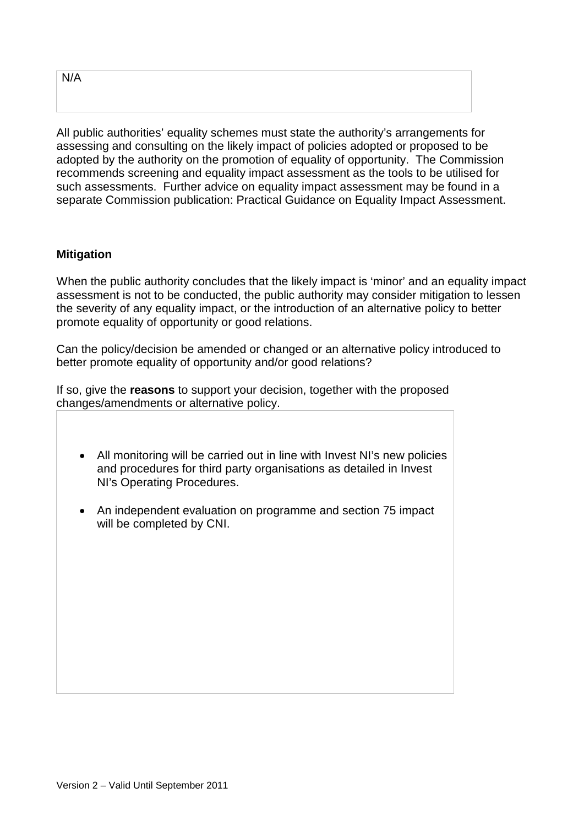N/A

All public authorities' equality schemes must state the authority's arrangements for assessing and consulting on the likely impact of policies adopted or proposed to be adopted by the authority on the promotion of equality of opportunity. The Commission recommends screening and equality impact assessment as the tools to be utilised for such assessments. Further advice on equality impact assessment may be found in a separate Commission publication: Practical Guidance on Equality Impact Assessment.

# **Mitigation**

When the public authority concludes that the likely impact is 'minor' and an equality impact assessment is not to be conducted, the public authority may consider mitigation to lessen the severity of any equality impact, or the introduction of an alternative policy to better promote equality of opportunity or good relations.

Can the policy/decision be amended or changed or an alternative policy introduced to better promote equality of opportunity and/or good relations?

If so, give the **reasons** to support your decision, together with the proposed changes/amendments or alternative policy.

- All monitoring will be carried out in line with Invest NI's new policies and procedures for third party organisations as detailed in Invest NI's Operating Procedures.
- An independent evaluation on programme and section 75 impact will be completed by CNI.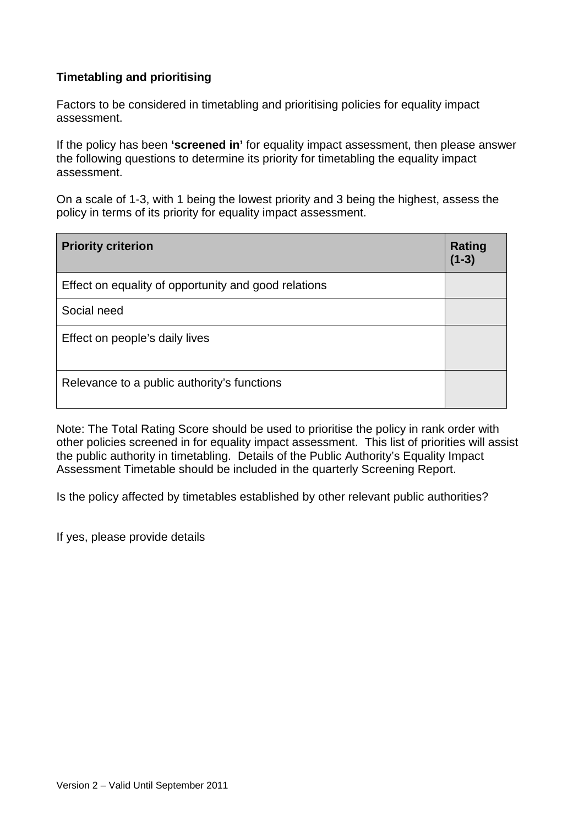# **Timetabling and prioritising**

Factors to be considered in timetabling and prioritising policies for equality impact assessment.

If the policy has been **'screened in'** for equality impact assessment, then please answer the following questions to determine its priority for timetabling the equality impact assessment.

On a scale of 1-3, with 1 being the lowest priority and 3 being the highest, assess the policy in terms of its priority for equality impact assessment.

| <b>Priority criterion</b>                            | <b>Rating</b><br>$(1-3)$ |
|------------------------------------------------------|--------------------------|
| Effect on equality of opportunity and good relations |                          |
| Social need                                          |                          |
| Effect on people's daily lives                       |                          |
| Relevance to a public authority's functions          |                          |

Note: The Total Rating Score should be used to prioritise the policy in rank order with other policies screened in for equality impact assessment. This list of priorities will assist the public authority in timetabling. Details of the Public Authority's Equality Impact Assessment Timetable should be included in the quarterly Screening Report.

Is the policy affected by timetables established by other relevant public authorities?

If yes, please provide details